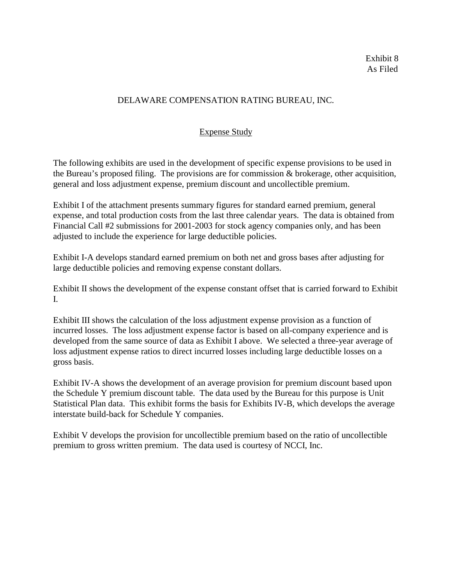# DELAWARE COMPENSATION RATING BUREAU, INC.

# Expense Study

The following exhibits are used in the development of specific expense provisions to be used in the Bureau's proposed filing. The provisions are for commission & brokerage, other acquisition, general and loss adjustment expense, premium discount and uncollectible premium.

Exhibit I of the attachment presents summary figures for standard earned premium, general expense, and total production costs from the last three calendar years. The data is obtained from Financial Call #2 submissions for 2001-2003 for stock agency companies only, and has been adjusted to include the experience for large deductible policies.

Exhibit I-A develops standard earned premium on both net and gross bases after adjusting for large deductible policies and removing expense constant dollars.

Exhibit II shows the development of the expense constant offset that is carried forward to Exhibit I.

Exhibit III shows the calculation of the loss adjustment expense provision as a function of incurred losses. The loss adjustment expense factor is based on all-company experience and is developed from the same source of data as Exhibit I above. We selected a three-year average of loss adjustment expense ratios to direct incurred losses including large deductible losses on a gross basis.

Exhibit IV-A shows the development of an average provision for premium discount based upon the Schedule Y premium discount table. The data used by the Bureau for this purpose is Unit Statistical Plan data. This exhibit forms the basis for Exhibits IV-B, which develops the average interstate build-back for Schedule Y companies.

Exhibit V develops the provision for uncollectible premium based on the ratio of uncollectible premium to gross written premium. The data used is courtesy of NCCI, Inc.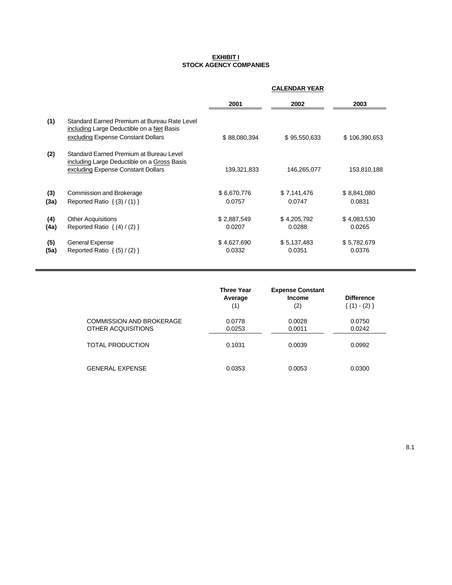#### **EXHIBIT I STOCK AGENCY COMPANIES**

|             |                                                                                                                                 | <b>CALENDAR YEAR</b>  |                       |                       |
|-------------|---------------------------------------------------------------------------------------------------------------------------------|-----------------------|-----------------------|-----------------------|
|             |                                                                                                                                 | 2001                  | 2002                  | 2003                  |
| (1)         | Standard Earned Premium at Bureau Rate Level<br>including Large Deductible on a Net Basis<br>excluding Expense Constant Dollars | \$88,080,394          | \$95,550,633          | \$106,390,653         |
| (2)         | Standard Earned Premium at Bureau Level<br>including Large Deductible on a Gross Basis<br>excluding Expense Constant Dollars    | 139,321,833           | 146,265,077           | 153,810,188           |
| (3)<br>(3a) | Commission and Brokerage<br>Reported Ratio $\{(3) / (1)\}$                                                                      | \$6,670,776<br>0.0757 | \$7,141,476<br>0.0747 | \$8,841,080<br>0.0831 |
| (4)<br>(4a) | <b>Other Acquisitions</b><br>Reported Ratio $\{(4) / (2)\}\$                                                                    | \$2,887,549<br>0.0207 | \$4,205,792<br>0.0288 | \$4,083,530<br>0.0265 |
| (5)<br>(5a) | General Expense<br>Reported Ratio $\{(5) / (2)\}\$                                                                              | \$4,627,690<br>0.0332 | \$5,137,483<br>0.0351 | \$5,782,679<br>0.0376 |

|                                                | <b>Three Year</b><br>Average<br>(1) | <b>Expense Constant</b><br>Income<br>(2) | <b>Difference</b><br>$\{(1) - (2)\}\$ |
|------------------------------------------------|-------------------------------------|------------------------------------------|---------------------------------------|
| COMMISSION AND BROKERAGE<br>OTHER ACQUISITIONS | 0.0778<br>0.0253                    | 0.0028<br>0.0011                         | 0.0750<br>0.0242                      |
| TOTAL PRODUCTION                               | 0.1031                              | 0.0039                                   | 0.0992                                |
| GENERAL EXPENSE                                | 0.0353                              | 0.0053                                   | 0.0300                                |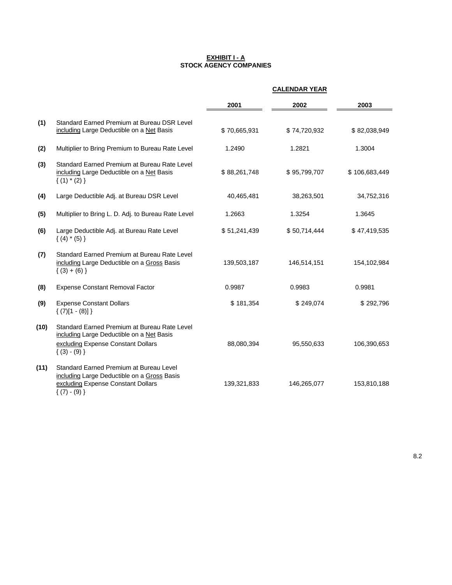#### **EXHIBIT I - A STOCK AGENCY COMPANIES**

|      |                                                                                                                                                | <b>CALENDAR YEAR</b> |              |               |
|------|------------------------------------------------------------------------------------------------------------------------------------------------|----------------------|--------------|---------------|
|      |                                                                                                                                                | 2001                 | 2002         | 2003          |
| (1)  | Standard Earned Premium at Bureau DSR Level<br>including Large Deductible on a Net Basis                                                       | \$70,665,931         | \$74,720,932 | \$82,038,949  |
| (2)  | Multiplier to Bring Premium to Bureau Rate Level                                                                                               | 1.2490               | 1.2821       | 1.3004        |
| (3)  | Standard Earned Premium at Bureau Rate Level<br>including Large Deductible on a Net Basis<br>${(1) * (2)}$                                     | \$88,261,748         | \$95,799,707 | \$106,683,449 |
| (4)  | Large Deductible Adj. at Bureau DSR Level                                                                                                      | 40,465,481           | 38,263,501   | 34,752,316    |
| (5)  | Multiplier to Bring L. D. Adj. to Bureau Rate Level                                                                                            | 1.2663               | 1.3254       | 1.3645        |
| (6)  | Large Deductible Adj. at Bureau Rate Level<br>$\{(4) * (5)\}$                                                                                  | \$51,241,439         | \$50,714,444 | \$47,419,535  |
| (7)  | Standard Earned Premium at Bureau Rate Level<br>including Large Deductible on a Gross Basis<br>$(3) + (6)$                                     | 139,503,187          | 146,514,151  | 154,102,984   |
| (8)  | <b>Expense Constant Removal Factor</b>                                                                                                         | 0.9987               | 0.9983       | 0.9981        |
| (9)  | <b>Expense Constant Dollars</b><br>$\{(7)[1 - (8)]\}$                                                                                          | \$181,354            | \$249,074    | \$292,796     |
| (10) | Standard Earned Premium at Bureau Rate Level<br>including Large Deductible on a Net Basis<br>excluding Expense Constant Dollars<br>$(3) - (9)$ | 88,080,394           | 95,550,633   | 106,390,653   |
| (11) | Standard Earned Premium at Bureau Level<br>including Large Deductible on a Gross Basis<br>excluding Expense Constant Dollars<br>${(7) - (9)}$  | 139,321,833          | 146,265,077  | 153,810,188   |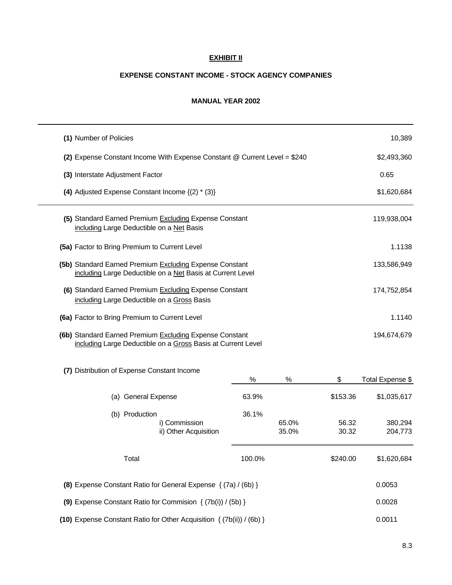## **EXHIBIT II**

#### **EXPENSE CONSTANT INCOME - STOCK AGENCY COMPANIES**

#### **MANUAL YEAR 2002**

| (1) Number of Policies                                                                                                  |        |                |                | 10,389             |
|-------------------------------------------------------------------------------------------------------------------------|--------|----------------|----------------|--------------------|
| (2) Expense Constant Income With Expense Constant @ Current Level = \$240                                               |        | \$2,493,360    |                |                    |
| (3) Interstate Adjustment Factor                                                                                        |        |                |                | 0.65               |
| (4) Adjusted Expense Constant Income $\{(2) * (3)\}$                                                                    |        |                |                | \$1,620,684        |
| (5) Standard Earned Premium Excluding Expense Constant<br>including Large Deductible on a Net Basis                     |        |                |                | 119,938,004        |
| (5a) Factor to Bring Premium to Current Level                                                                           |        |                |                | 1.1138             |
| (5b) Standard Earned Premium Excluding Expense Constant<br>including Large Deductible on a Net Basis at Current Level   |        |                |                | 133,586,949        |
| (6) Standard Earned Premium Excluding Expense Constant<br>including Large Deductible on a Gross Basis                   |        |                |                | 174,752,854        |
| (6a) Factor to Bring Premium to Current Level                                                                           |        |                |                | 1.1140             |
| (6b) Standard Earned Premium Excluding Expense Constant<br>including Large Deductible on a Gross Basis at Current Level |        |                |                | 194,674,679        |
| (7) Distribution of Expense Constant Income                                                                             | ℅      | %              | \$             | Total Expense \$   |
| (a) General Expense                                                                                                     | 63.9%  |                | \$153.36       | \$1,035,617        |
| (b) Production<br>i) Commission<br>ii) Other Acquisition                                                                | 36.1%  | 65.0%<br>35.0% | 56.32<br>30.32 | 380,294<br>204,773 |
| Total                                                                                                                   | 100.0% |                | \$240.00       | \$1,620,684        |
| (8) Expense Constant Ratio for General Expense { (7a) / (6b) }                                                          |        |                |                | 0.0053             |
| (9) Expense Constant Ratio for Commision $\{(7b(i)) / (5b)\}\$                                                          |        |                |                | 0.0028             |
| (10) Expense Constant Ratio for Other Acquisition { (7b(ii)) / (6b) }                                                   |        |                |                | 0.0011             |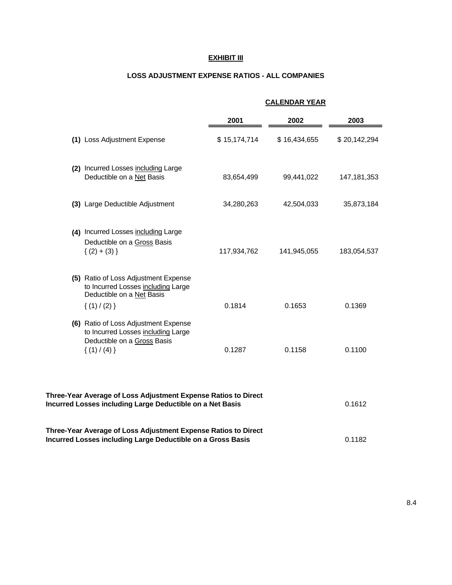#### **EXHIBIT III**

#### **LOSS ADJUSTMENT EXPENSE RATIOS - ALL COMPANIES**

| (1) Loss Adjustment Expense<br>(2) Incurred Losses including Large | 2001<br>\$15,174,714                                                                                                                                                                                                                                                                                                                                                                     | 2002<br>\$16,434,655 | 2003          |
|--------------------------------------------------------------------|------------------------------------------------------------------------------------------------------------------------------------------------------------------------------------------------------------------------------------------------------------------------------------------------------------------------------------------------------------------------------------------|----------------------|---------------|
|                                                                    |                                                                                                                                                                                                                                                                                                                                                                                          |                      | \$20,142,294  |
|                                                                    |                                                                                                                                                                                                                                                                                                                                                                                          |                      |               |
| Deductible on a Net Basis                                          | 83,654,499                                                                                                                                                                                                                                                                                                                                                                               | 99,441,022           | 147, 181, 353 |
|                                                                    | 34,280,263                                                                                                                                                                                                                                                                                                                                                                               | 42,504,033           | 35,873,184    |
|                                                                    | 117,934,762                                                                                                                                                                                                                                                                                                                                                                              | 141,945,055          | 183,054,537   |
|                                                                    | 0.1814                                                                                                                                                                                                                                                                                                                                                                                   | 0.1653               | 0.1369        |
|                                                                    | 0.1287                                                                                                                                                                                                                                                                                                                                                                                   | 0.1158               | 0.1100        |
|                                                                    | (3) Large Deductible Adjustment<br>(4) Incurred Losses including Large<br>Deductible on a Gross Basis<br>$\{(2) + (3)\}$<br>(5) Ratio of Loss Adjustment Expense<br>to Incurred Losses including Large<br>Deductible on a Net Basis<br>$\{(1) / (2)\}\$<br>(6) Ratio of Loss Adjustment Expense<br>to Incurred Losses including Large<br>Deductible on a Gross Basis<br>$\{(1) / (4)\}\$ |                      |               |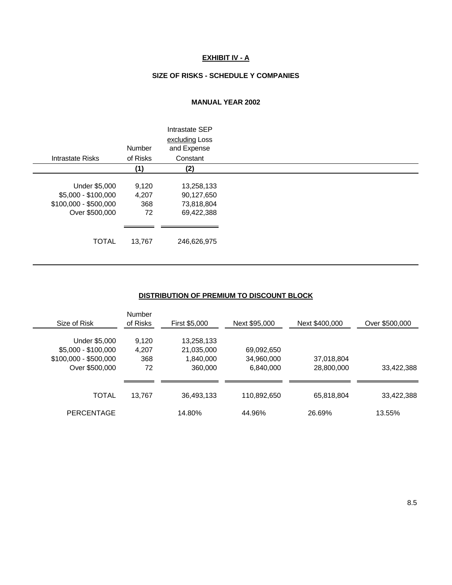## **EXHIBIT IV - A**

#### **SIZE OF RISKS - SCHEDULE Y COMPANIES**

#### **MANUAL YEAR 2002**

| Intrastate Risks      | <b>Number</b><br>of Risks | Intrastate SEP<br>excluding Loss<br>and Expense<br>Constant |  |
|-----------------------|---------------------------|-------------------------------------------------------------|--|
|                       | (1)                       | (2)                                                         |  |
| Under \$5,000         | 9,120                     | 13,258,133                                                  |  |
| \$5,000 - \$100,000   | 4,207                     | 90,127,650                                                  |  |
| \$100,000 - \$500,000 | 368                       | 73,818,804                                                  |  |
| Over \$500,000        | 72                        | 69,422,388                                                  |  |
|                       |                           |                                                             |  |
|                       |                           |                                                             |  |
| <b>TOTAL</b>          | 13,767                    | 246,626,975                                                 |  |

#### **DISTRIBUTION OF PREMIUM TO DISCOUNT BLOCK**

| Size of Risk          | Number<br>of Risks | <b>First \$5,000</b> | Next \$95,000 | Next \$400,000 | Over \$500,000 |
|-----------------------|--------------------|----------------------|---------------|----------------|----------------|
| Under \$5,000         | 9,120              | 13,258,133           |               |                |                |
| $$5,000 - $100,000$   | 4,207              | 21,035,000           | 69,092,650    |                |                |
| $$100,000 - $500,000$ | 368                | 1,840,000            | 34,960,000    | 37,018,804     |                |
| Over \$500,000        | 72                 | 360,000              | 6,840,000     | 28,800,000     | 33,422,388     |
|                       |                    |                      |               |                |                |
| TOTAL                 | 13,767             | 36,493,133           | 110,892,650   | 65,818,804     | 33,422,388     |
| <b>PERCENTAGE</b>     |                    | 14.80%               | 44.96%        | 26.69%         | 13.55%         |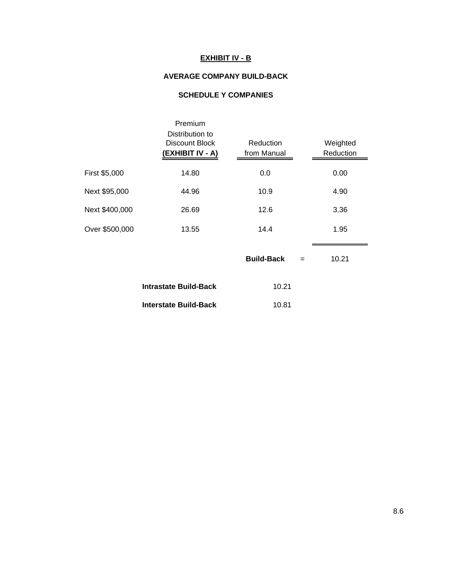# **EXHIBIT IV - B**

## **AVERAGE COMPANY BUILD-BACK**

# **SCHEDULE Y COMPANIES**

|                | Premium<br>Distribution to<br><b>Discount Block</b><br>(EXHIBIT IV - A) | Reduction<br>from Manual | Weighted<br>Reduction |
|----------------|-------------------------------------------------------------------------|--------------------------|-----------------------|
| First \$5,000  | 14.80                                                                   | 0.0                      | 0.00                  |
| Next \$95,000  | 44.96                                                                   | 10.9                     | 4.90                  |
| Next \$400,000 | 26.69                                                                   | 12.6                     | 3.36                  |
| Over \$500,000 | 13.55                                                                   | 14.4                     | 1.95                  |
|                |                                                                         |                          |                       |

|                       | <b>Build-Back</b><br>$=$ | 10.21 |
|-----------------------|--------------------------|-------|
| Intrastate Build-Back | 10.21                    |       |
| Interstate Build-Back | 10.81                    |       |